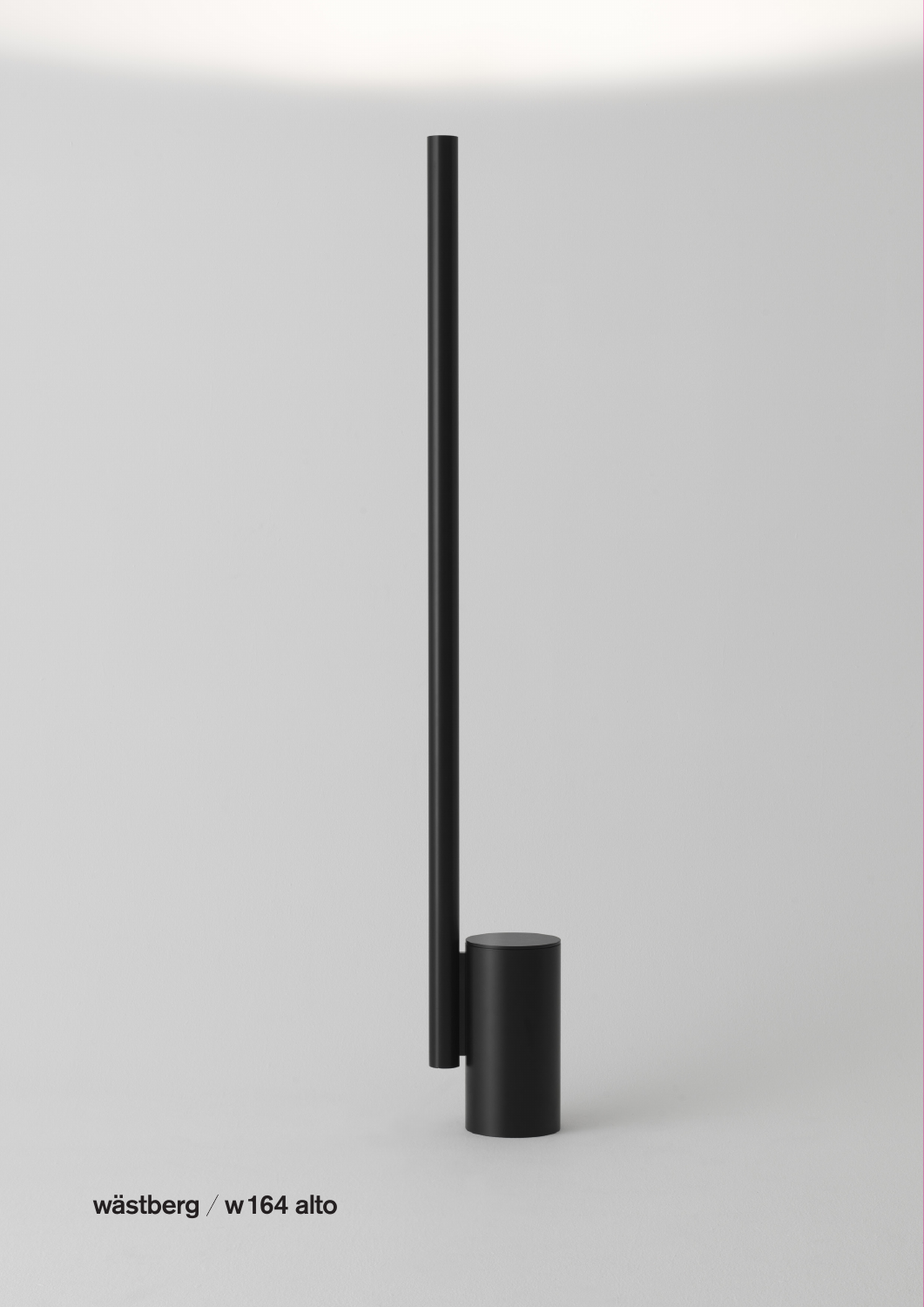

wästberg / w164 alto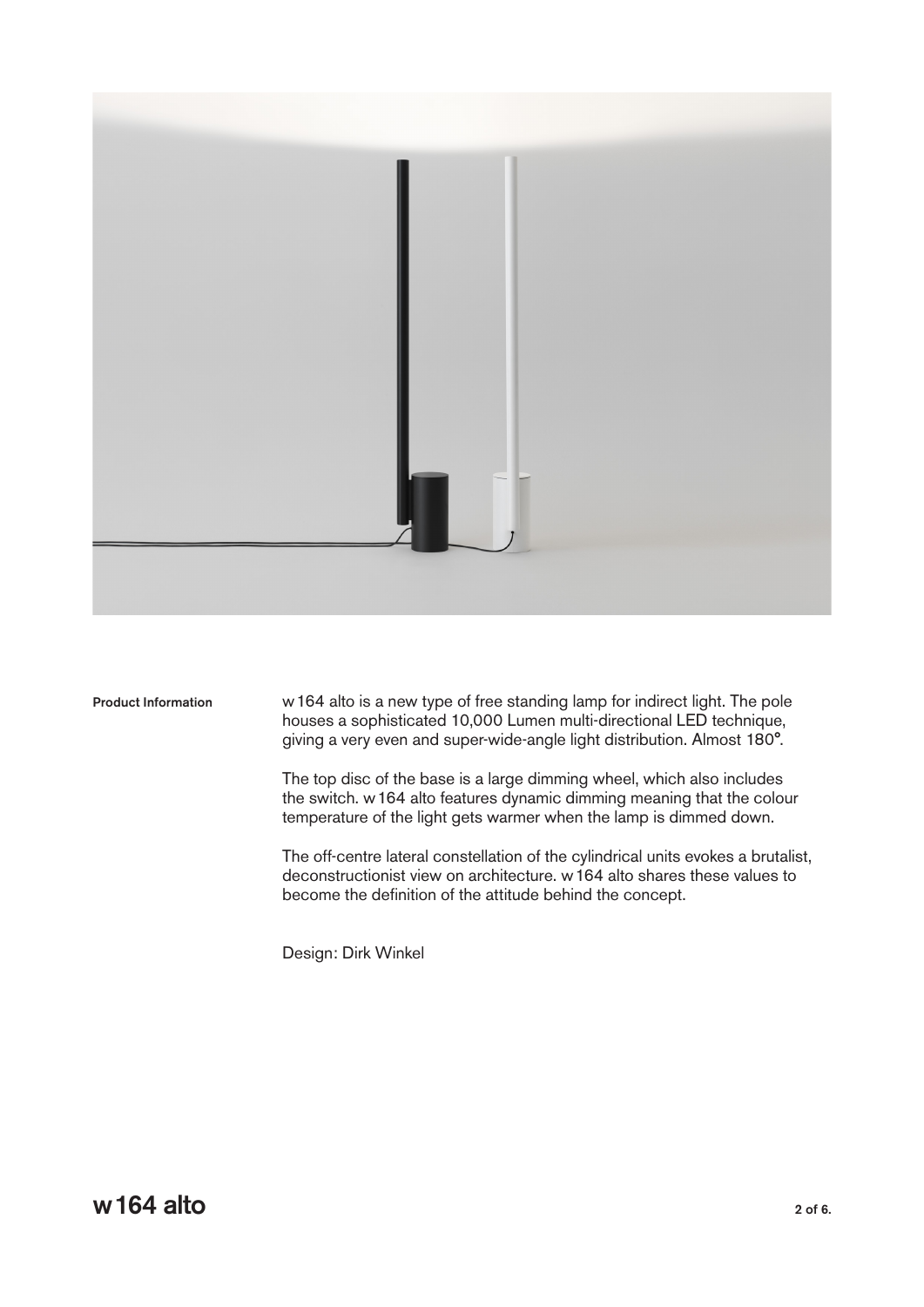

## Product Information

w164 alto is a new type of free standing lamp for indirect light. The pole houses a sophisticated 10,000 Lumen multi-directional LED technique, giving a very even and super-wide-angle light distribution. Almost 180°.

The top disc of the base is a large dimming wheel, which also includes the switch. w164 alto features dynamic dimming meaning that the colour temperature of the light gets warmer when the lamp is dimmed down.

The off-centre lateral constellation of the cylindrical units evokes a brutalist, deconstructionist view on architecture. w164 alto shares these values to become the definition of the attitude behind the concept.

Design: Dirk Winkel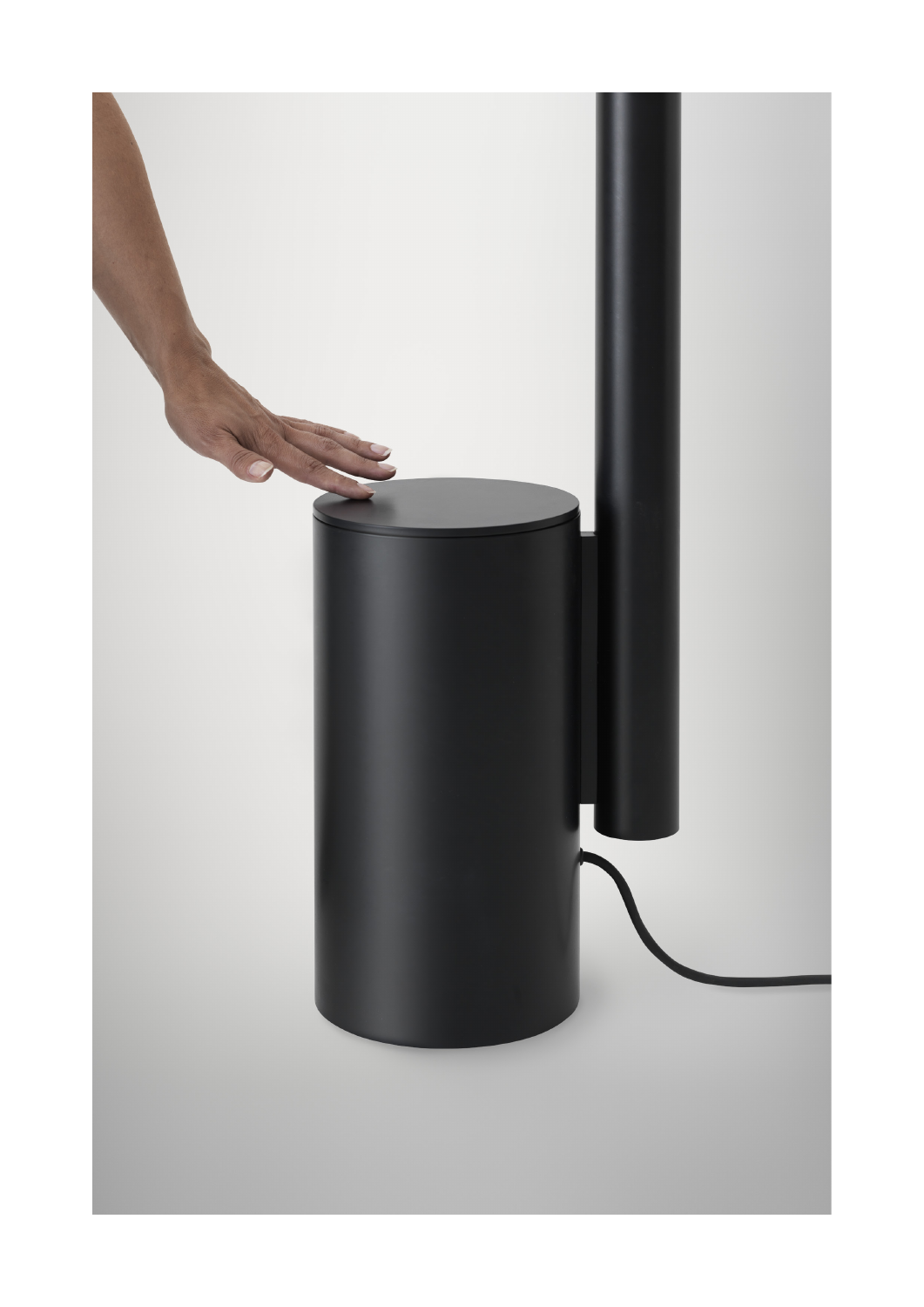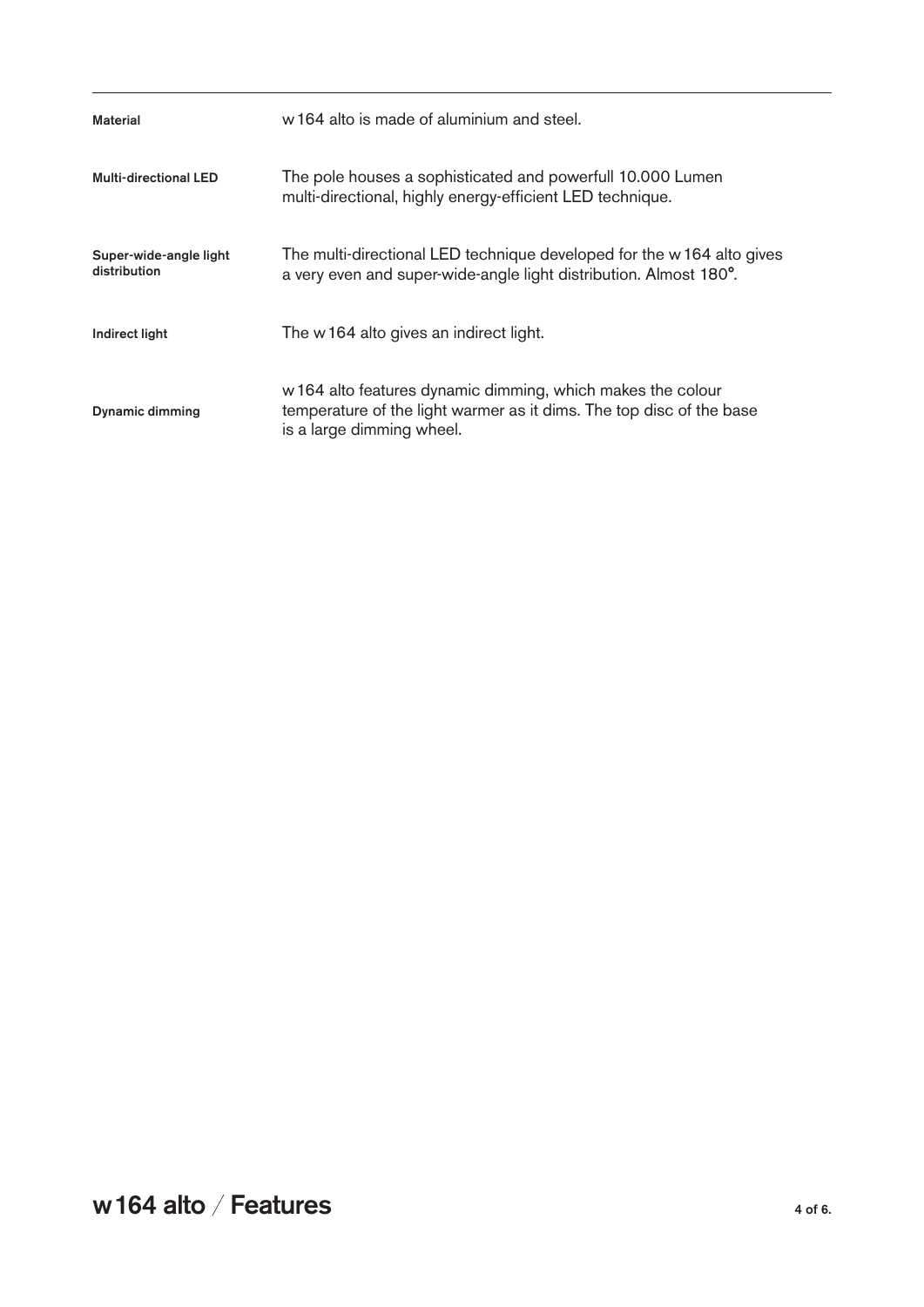| <b>Material</b>                        | w 164 alto is made of aluminium and steel.                                                                                                                       |  |  |
|----------------------------------------|------------------------------------------------------------------------------------------------------------------------------------------------------------------|--|--|
| <b>Multi-directional LED</b>           | The pole houses a sophisticated and powerfull 10.000 Lumen<br>multi-directional, highly energy-efficient LED technique.                                          |  |  |
| Super-wide-angle light<br>distribution | The multi-directional LED technique developed for the w 164 alto gives<br>a very even and super-wide-angle light distribution. Almost 180°.                      |  |  |
| Indirect light                         | The w 164 alto gives an indirect light.                                                                                                                          |  |  |
| <b>Dynamic dimming</b>                 | w 164 alto features dynamic dimming, which makes the colour<br>temperature of the light warmer as it dims. The top disc of the base<br>is a large dimming wheel. |  |  |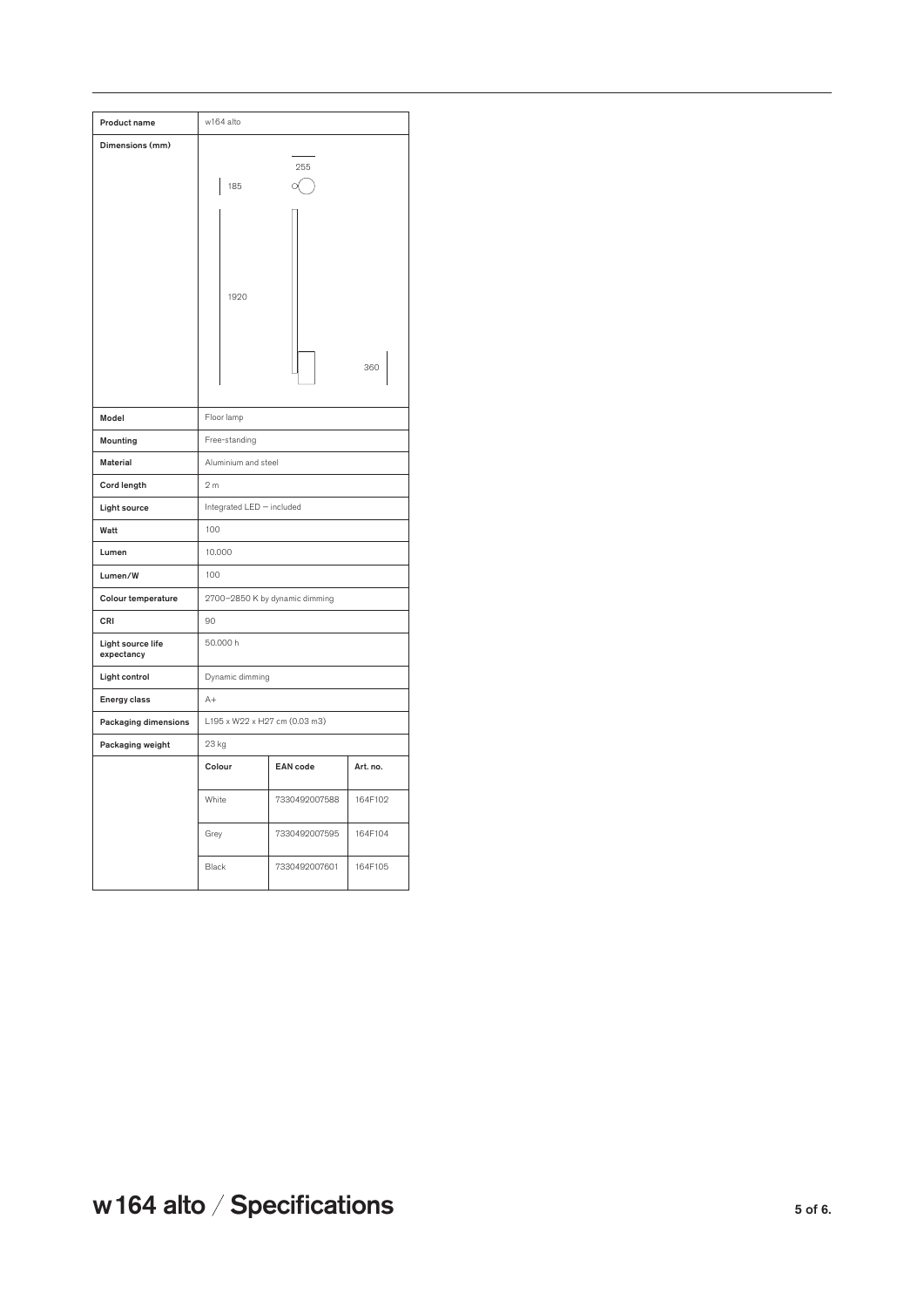| Product name                    | w164 alto                            |                 |          |
|---------------------------------|--------------------------------------|-----------------|----------|
| Dimensions (mm)                 | 185<br>1920                          | 255<br>∝        |          |
| Model                           | Floor lamp                           |                 | 360      |
| Mounting                        | Free-standing                        |                 |          |
| Material                        | Aluminium and steel                  |                 |          |
| Cord length                     |                                      |                 |          |
|                                 | 2 <sub>m</sub>                       |                 |          |
| Light source<br>Watt            | Integrated LED - included<br>100     |                 |          |
| Lumen                           | 10.000                               |                 |          |
| Lumen/W                         | 100                                  |                 |          |
|                                 |                                      |                 |          |
| Colour temperature<br>CRI       | 2700-2850 K by dynamic dimming<br>90 |                 |          |
| Light source life<br>expectancy | 50.000 h                             |                 |          |
| Light control                   | Dynamic dimming                      |                 |          |
| Energy class                    | $A+$                                 |                 |          |
| Packaging dimensions            | L195 x W22 x H27 cm (0.03 m3)        |                 |          |
| Packaging weight                | 23 kg                                |                 |          |
|                                 | Colour                               | <b>EAN</b> code | Art. no. |
|                                 | White                                | 7330492007588   | 164F102  |
|                                 | Grey                                 | 7330492007595   | 164F104  |
|                                 | Black                                | 7330492007601   | 164F105  |